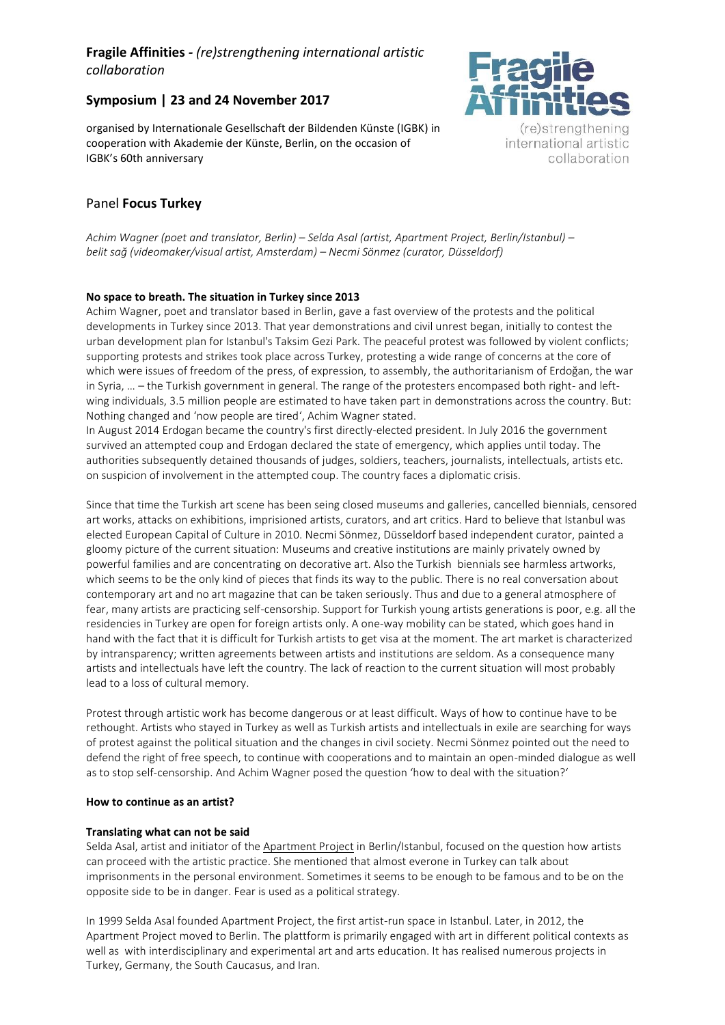# **Fragile Affinities** *- (re)strengthening international artistic collaboration*

## **Symposium | 23 and 24 November 2017**

organised by Internationale Gesellschaft der Bildenden Künste (IGBK) in cooperation with Akademie der Künste, Berlin, on the occasion of IGBK's 60th anniversary

## Panel **Focus Turkey**

*Achim Wagner (poet and translator, Berlin) – Selda Asal (artist, Apartment Project, Berlin/Istanbul) – belit sağ (videomaker/visual artist, Amsterdam) – Necmi Sönmez (curator, Düsseldorf)*

### **No space to breath. The situation in Turkey since 2013**

Achim Wagner, poet and translator based in Berlin, gave a fast overview of the protests and the political developments in Turkey since 2013. That year demonstrations and civil unrest began, initially to contest the urban development plan for Istanbul's Taksim Gezi Park. The peaceful protest was followed by violent conflicts; supporting protests and strikes took place across Turkey, protesting a wide range of concerns at the core of which were issues of freedom of the press, of expression, to assembly, the authoritarianism of Erdoğan, the war in Syria, … – the Turkish government in general. The range of the protesters encompased both right- and leftwing individuals, 3.5 million people are estimated to have taken part in demonstrations across the country. But: Nothing changed and 'now people are tired', Achim Wagner stated.

In August 2014 Erdogan became the country's first directly-elected president. In July 2016 the government survived an attempted coup and Erdogan declared the state of emergency, which applies until today. The authorities subsequently detained thousands of judges, soldiers, teachers, journalists, intellectuals, artists etc. on suspicion of involvement in the attempted coup. The country faces a diplomatic crisis.

Since that time the Turkish art scene has been seing closed museums and galleries, cancelled biennials, censored art works, attacks on exhibitions, imprisioned artists, curators, and art critics. Hard to believe that Istanbul was elected European Capital of Culture in 2010. Necmi Sönmez, Düsseldorf based independent curator, painted a gloomy picture of the current situation: Museums and creative institutions are mainly privately owned by powerful families and are concentrating on decorative art. Also the Turkish biennials see harmless artworks, which seems to be the only kind of pieces that finds its way to the public. There is no real conversation about contemporary art and no art magazine that can be taken seriously. Thus and due to a general atmosphere of fear, many artists are practicing self-censorship. Support for Turkish young artists generations is poor, e.g. all the residencies in Turkey are open for foreign artists only. A one-way mobility can be stated, which goes hand in hand with the fact that it is difficult for Turkish artists to get visa at the moment. The art market is characterized by intransparency; written agreements between artists and institutions are seldom. As a consequence many artists and intellectuals have left the country. The lack of reaction to the current situation will most probably lead to a loss of cultural memory.

Protest through artistic work has become dangerous or at least difficult. Ways of how to continue have to be rethought. Artists who stayed in Turkey as well as Turkish artists and intellectuals in exile are searching for ways of protest against the political situation and the changes in civil society. Necmi Sönmez pointed out the need to defend the right of free speech, to continue with cooperations and to maintain an open-minded dialogue as well as to stop self-censorship. And Achim Wagner posed the question 'how to deal with the situation?'

### **How to continue as an artist?**

### **Translating what can not be said**

Selda Asal, artist and initiator of the [Apartment Project](http://www.apartmentproject.org/) in Berlin/Istanbul, focused on the question how artists can proceed with the artistic practice. She mentioned that almost everone in Turkey can talk about imprisonments in the personal environment. Sometimes it seems to be enough to be famous and to be on the opposite side to be in danger. Fear is used as a political strategy.

In 1999 Selda Asal founded Apartment Project, the first artist-run space in Istanbul. Later, in 2012, the Apartment Project moved to Berlin. The plattform is primarily engaged with art in different political contexts as well as with interdisciplinary and experimental art and arts education. It has realised numerous projects in Turkey, Germany, the South Caucasus, and Iran.



(re)strengthening international artistic collaboration